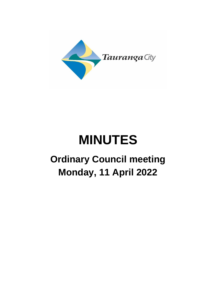

# **MINUTES**

# **Ordinary Council meeting Monday, 11 April 2022**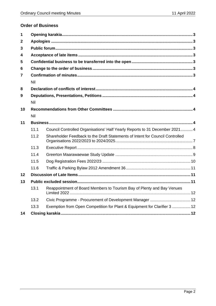# **Order of Business**

| 1  |      |                                                                               |  |  |  |  |
|----|------|-------------------------------------------------------------------------------|--|--|--|--|
| 2  |      |                                                                               |  |  |  |  |
| 3  |      |                                                                               |  |  |  |  |
| 4  |      |                                                                               |  |  |  |  |
| 5  |      |                                                                               |  |  |  |  |
| 6  |      |                                                                               |  |  |  |  |
| 7  |      |                                                                               |  |  |  |  |
|    | Nil  |                                                                               |  |  |  |  |
| 8  |      |                                                                               |  |  |  |  |
| 9  |      |                                                                               |  |  |  |  |
|    | Nil  |                                                                               |  |  |  |  |
| 10 |      |                                                                               |  |  |  |  |
|    | Nil  |                                                                               |  |  |  |  |
| 11 |      |                                                                               |  |  |  |  |
|    | 11.1 | Council Controlled Organisations' Half Yearly Reports to 31 December 2021 4   |  |  |  |  |
|    | 11.2 | Shareholder Feedback to the Draft Statements of Intent for Council Controlled |  |  |  |  |
|    | 11.3 |                                                                               |  |  |  |  |
|    | 11.4 |                                                                               |  |  |  |  |
|    | 11.5 |                                                                               |  |  |  |  |
|    | 11.6 |                                                                               |  |  |  |  |
| 12 |      |                                                                               |  |  |  |  |
| 13 |      |                                                                               |  |  |  |  |
|    | 13.1 | Reappointment of Board Members to Tourism Bay of Plenty and Bay Venues        |  |  |  |  |
|    | 13.2 |                                                                               |  |  |  |  |
|    | 13.3 | Exemption from Open Competition for Plant & Equipment for Clarifier 3  12     |  |  |  |  |
| 14 |      |                                                                               |  |  |  |  |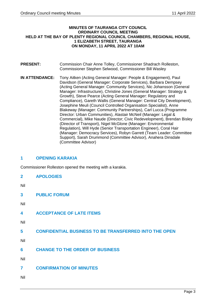#### **MINUTES OF TAURANGA CITY COUNCIL ORDINARY COUNCIL MEETING HELD AT THE BAY OF PLENTY REGIONAL COUNCIL CHAMBERS, REGIONAL HOUSE, 1 ELIZABETH STREET, TAURANGA ON MONDAY, 11 APRIL 2022 AT 10AM**

- **PRESENT:** Commission Chair Anne Tolley, Commissioner Shadrach Rolleston, Commissioner Stephen Selwood, Commissioner Bill Wasley
- **IN ATTENDANCE:** Tony Aitken (Acting General Manager: People & Engagement), Paul Davidson (General Manager: Corporate Services), Barbara Dempsey (Acting General Manager: Community Services), Nic Johansson (General Manager: Infrastructure), Christine Jones (General Manager: Strategy & Growth), Steve Pearce (Acting General Manager: Regulatory and Compliance), Gareth Wallis (General Manager: Central City Development), Josephine Meuli (Council Controlled Organisation Specialist), Anne Blakeway (Manager: Community Partnerships), Carl Lucca (Programme Director: Urban Communities), Alastair McNeil (Manager: Legal & Commercial), Mike Naude (Director; Civic Redevelopment), Brendan Bisley (Director of Transport), Nigel McGlone (Manager: Environmental Regulation), Will Hyde (Senior Transportation Engineer), Coral Hair (Manager: Democracy Services), Robyn Garrett (Team Leader: Committee Support), Sarah Drummond (Committee Advisor), Anahera Dinsdale (Committee Advisor)

# <span id="page-2-0"></span>**1 OPENING KARAKIA**

Commissioner Rolleston opened the meeting with a karakia.

<span id="page-2-1"></span>

| <b>APOLOGIES</b> |
|------------------|

Nil

<span id="page-2-2"></span>**3 PUBLIC FORUM**

Nil

<span id="page-2-3"></span>

| <b>ACCEPTANCE OF LATE ITEMS</b> |
|---------------------------------|
|---------------------------------|

Nil

<span id="page-2-4"></span>**5 CONFIDENTIAL BUSINESS TO BE TRANSFERRED INTO THE OPEN**

Nil

<span id="page-2-5"></span>**6 CHANGE TO THE ORDER OF BUSINESS**

Nil

<span id="page-2-6"></span>**7 CONFIRMATION OF MINUTES**

<span id="page-2-7"></span>Nil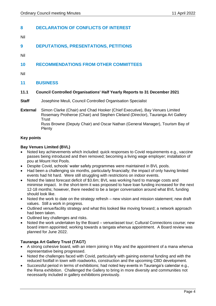# <span id="page-3-0"></span>**8 DECLARATION OF CONFLICTS OF INTEREST**

- Nil
- <span id="page-3-1"></span>**9 DEPUTATIONS, PRESENTATIONS, PETITIONS**

<span id="page-3-2"></span>Nil

# <span id="page-3-3"></span>**10 RECOMMENDATIONS FROM OTHER COMMITTEES**

<span id="page-3-4"></span>Nil

## <span id="page-3-5"></span>**11 BUSINESS**

#### <span id="page-3-6"></span>**11.1 Council Controlled Organisations' Half Yearly Reports to 31 December 2021**

- **Staff** Josephine Meuli, Council Controlled Organisation Specialist
- **External** Simon Clarke (Chair) and Chad Hooker (Chief Executive), Bay Venues Limited Rosemary Protheroe (Chair) and Stephen Cleland (Director), Tauranga Art Gallery **Trust** Russ Browne (Deputy Chair) and Oscar Nathan (General Manager), Tourism Bay of Plenty

#### **Key points**

#### **Bay Venues Limited (BVL)**

- Noted key achievements which included: quick responses to Covid requirements e.g., vaccine passes being introduced and then removed; becoming a living wage employer; installation of pou at Mount Hot Pools.
- Despite Covid, schools' water safety programmes were maintained in BVL pools.
- Had been a challenging six months, particularly financially; the impact of only having limited events had hit hard. Were still struggling with restrictions on indoor events.
- Noted the latest forecast deficit of \$3.6m; BVL was working hard to manage costs and minimise impact. In the short-term it was proposed to have loan funding increased for the next 12-18 months; however, there needed to be a larger conversation around what BVL funding should look like.
- Noted the work to date on the strategy refresh new vision and mission statement; new draft values. Still a work in progress.
- Outlined venue/facility strategy and what this looked like moving forward; a network approach had been taken.
- Outlined key challenges and risks.
- Noted the work undertaken by the Board venue/asset tour; Cultural Connections course; new board intern appointed; working towards a tangata whenua appointment. A Board review was planned for June 2022.

#### **Tauranga Art Gallery Trust (TAGT)**

- A strong cohesive board, with an intern joining in May and the appointment of a mana whenua representative being progressed.
- Noted the challenges faced with Covid, particularly with gaining external funding and with the reduced footfall in town with roadworks, construction and the upcoming CBD development.
- Successful period in terms of exhibitions; had noted key events in Tauranga's calendar e.g., the Rena exhibition. Challenged the Gallery to bring in more diversity and communities not necessarily included in gallery exhibitions previously.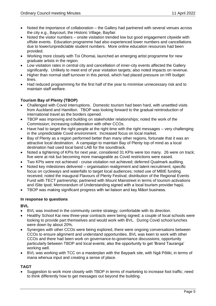- Noted the importance of collaboration the Gallery had partnered with several venues across the city e.g., Baycourt, the Historic Village, Bayfair.
- Noted the visitor numbers onsite visitation trended low but good engagement citywide with offsite events. Education programme had also experienced lower numbers and cancellations due to lower/unpredictable student numbers. More online education resources had been provided.
- Working more closely with Toi Ohomai, launched an emerging artist programme for new graduate artists in the region.
- Low visitation rates in central city and cancellation of inner-city events affected the Gallery significantly. Unlikely to meet end of year visitation targets; also noted impacts on revenue.
- Higher than normal staff turnover in this period, which had placed pressure on HR budget lines.
- Had reduced programming for the first half of the year to minimise unnecessary risk and to maintain staff welfare.

## **Tourism Bay of Plenty (TBOP)**

- Challenged with Covid interruptions. Domestic tourism had been hard, with unsettled visits from Auckland and Hamilton. TBOP was looking forward to the gradual reintroduction of international travel as the borders opened.
- TBOP was improving and building on stakeholder relationships; noted the work of the Commission; increasing collaboration with other CCOs.
- Have had to target the right people at the right time with the right messages very challenging in the unpredictable Covid environment. Increased focus on local market.
- Bay of Plenty as a region performed better than many other regions, fortunate that it was an attractive local destination. A campaign to maintain Bay of Plenty top of mind as a local destination had used local band LAB for the soundtrack.
- Noted a tightening of KPIs for next year, considered 31 KPIs were too many. 26 were on track; five were at risk but becoming more manageable as Covid restrictions were eased.
- Two KPIs were not achieved cruise visitation not achieved; deferred Qualmark auditing.
- Noted key milestones delivered organisation realignment and talent recruitment; specific focus on cycleways and waterfalls to target local audiences; noted use of MBIE funding received; noted the inaugural Flavours of Plenty Festival; distribution of the Regional Events Fund with TECT partnership; partnered with Mount Mainstreet in terms of tourism activations and iSite Ipod; Memorandum of Understanding signed with a local tourism provider hapū.
- TBOP was making significant progress with iwi liaison and key Māori business.

#### **In response to questions**

#### **BVL**

- BVL was involved in the community centre strategy; comfortable with its direction.
- Healthy School Kai new three-year contracts were being signed; a couple of local schools were looking to provide part themselves and would work with BVL. During Covid school lunches were down by about 20%.
- Synergies with other CCOs were being explored, there were ongoing conversations between CCOs to ensure alignment and understand opportunities. BVL was keen to work with other CCOs and there had been work on governance-to-governance discussions; opportunity particularly between TBOP and local events; also the opportunity to get 'Brand Tauranga' working well.
- BVL was working with TCC on a masterplan with the Baypark site, with Ngā Pōtiki, in terms of mana whenua input and creating a sense of place.

#### **TAGT**

• Suggestion to work more closely with TBOP in terms of marketing to increase foot traffic; need to think differently how to get messages out beyond the building.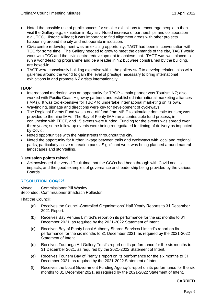- Noted the possible use of public spaces for smaller exhibitions to encourage people to then visit the Gallery e.g., exhibition in Bayfair. Noted increase of partnerships and collaboration e.g., TCC, Historic Village; it was important to find alignment areas with other projects happening around the city and not operate in isolation.
- Civic centre redevelopment was an exciting opportunity; TAGT had been in conversation with TCC for some time. The Gallery needed to grow to meet the demands of the city, TAGT would work with TCC and the civic centre redevelopment to achieve that. TAGT was well-placed to run a world-leading programme and be a leader in NZ but were constrained by the building, are boxed-in.
- TAGT were consciously building expertise within the gallery staff to develop relationships with galleries around the world to gain the level of prestige necessary to bring international exhibitions in and promote NZ artists internationally.

#### **TBOP**

- International marketing was an opportunity for TBOP main partner was Tourism NZ; also worked with Pacific Coast Highway partners and established international marketing alliances (IMAs). It was too expensive for TBOP to undertake international marketing on its own.
- Wayfinding, signage and directions were key for development of cycleways.
- The Regional Events Fund was a one-off fund from MBIE to stimulate domestic tourism; was provided to the nine IMAs. The Bay of Plenty IMA ran a contestable fund process, in conjunction with TECT, and 15 events were funded. Funding for the events was spread over three years; some follow-up events were being renegotiated for timing of delivery as impacted by Covid.
- Noted opportunities with the Mainstreets throughout the city.
- Noted the opportunity for further linkage between trails and cycleways with local and regional parks, particularly active recreation parks. Significant work was being planned around natural landscapes and storytelling.

#### **Discussion points raised**

• Acknowledged the very difficult time that the CCOs had been through with Covid and its impacts, and the good examples of governance and leadership being provided by the various Boards.

#### **RESOLUTION CO6/22/1**

Moved: Commissioner Bill Wasley Seconded: Commissioner Shadrach Rolleston

That the Council:

- (a) Receives the Council-Controlled Organisations' Half Yearly Reports to 31 December 2021 Report.
- (b) Receives Bay Venues Limited's report on its performance for the six months to 31 December 2021, as required by the 2021-2022 Statement of Intent.
- (c) Receives Bay of Plenty Local Authority Shared Services Limited's report on its performance for the six months to 31 December 2021, as required by the 2021-2022 Statement of Intent.
- (d) Receives Tauranga Art Gallery Trust's report on its performance for the six months to 31 December 2021, as required by the 2021-2022 Statement of Intent.
- (e) Receives Tourism Bay of Plenty's report on its performance for the six months to 31 December 2021, as required by the 2021-2022 Statement of Intent.
- (f) Receives the Local Government Funding Agency's report on its performance for the six months to 31 December 2021, as required by the 2021-2022 Statement of Intent.

#### **CARRIED**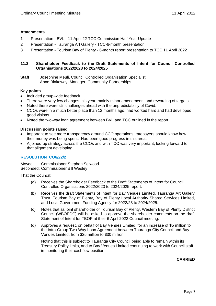#### **Attachments**

- 1 Presentation BVL 11 April 22 TCC Commission Half Year Update
- 2 Presentation Tauranga Art Gallery TCC-6-month presentation
- 3 Presentation Tourism Bay of Plenty 6-month report presentation to TCC 11 April 2022

#### <span id="page-6-0"></span>**11.2 Shareholder Feedback to the Draft Statements of Intent for Council Controlled Organisations 2022/2023 to 2024/2025**

**Staff** Josephine Meuli, Council Controlled Organisation Specialist Anne Blakeway, Manager: Community Partnerships

#### **Key points**

- Included group-wide feedback.
- There were very few changes this year, mainly minor amendments and rewording of targets.
- Noted there were still challenges ahead with the unpredictability of Covid.
- CCOs were in a much better place than 12 months ago, had worked hard and had developed good visions.
- Noted the two-way loan agreement between BVL and TCC outlined in the report.

#### **Discussion points raised**

- Important to see more transparency around CCO operations; ratepayers should know how their money was being spent. Had been good progress in this area.
- A joined-up strategy across the CCOs and with TCC was very important, looking forward to that alignment developing.

#### **RESOLUTION CO6/22/2**

Moved: Commissioner Stephen Selwood Seconded: Commissioner Bill Wasley

That the Council:

- (a) Receives the Shareholder Feedback to the Draft Statements of Intent for Council Controlled Organisations 2022/2023 to 2024/2025 report.
- (b) Receives the draft Statements of Intent for Bay Venues Limited, Tauranga Art Gallery Trust, Tourism Bay of Plenty, Bay of Plenty Local Authority Shared Services Limited, and Local Government Funding Agency for 2022/23 to 2024/2025.
- (c) Notes that as joint shareholder of Tourism Bay of Plenty, Western Bay of Plenty District Council (WBOPDC) will be asked to approve the shareholder comments on the draft Statement of Intent for TBOP at their 6 April 2022 Council meeting.
- (d) Approves a request, on behalf of Bay Venues Limited, for an increase of \$5 million to the Intra-Group Two-Way Loan Agreement between Tauranga City Council and Bay Venues Limited, from \$25 million to \$30 million.

Noting that this is subject to Tauranga City Council being able to remain within its Treasury Policy limits, and to Bay Venues Limited continuing to work with Council staff in monitoring their cashflow position.

#### **CARRIED**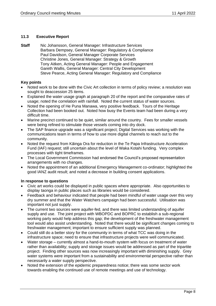#### <span id="page-7-0"></span>**11.3 Executive Report**

**Staff** Nic Johansson, General Manager: Infrastructure Services Barbara Dempsey, General Manager: Regulatory & Compliance Paul Davidson, General Manager Corporate Services Christine Jones, General Manager: Strategy & Growth Tony Aitken, Acting General Manager: People and Engagement Gareth Wallis, General Manager: Central City Development Steve Pearce, Acting General Manager: Regulatory and Compliance

#### **Key points**

- Noted work to be done with the Civic Art collection in terms of policy review; a resolution was sought to deaccession 25 items.
- Explained the water usage graph at paragraph 20 of the report and the comparative rates of usage; noted the correlation with rainfall. Noted the current status of water sources.
- Noted the opening of He Puna Manawa, very positive feedback. Tours of the Heritage Collection had been booked out. Noted how busy the Events team had been during a very difficult time.
- Marine precinct continued to be quiet, similar around the country. Fees for smaller vessels were being refined to stimulate those vessels coming into dry dock.
- The SAP finance upgrade was a significant project; Digital Services was working with the communications team in terms of how to use more digital channels to reach out to the community.
- Noted the request from Kāinga Ora for reduction in the Te Papa Infrastructure Acceleration Fund (IAF) request; still uncertain about the level of Waka Kotahi funding. Very complex processes with tight timeframes.
- The Local Government Commission had endorsed the Council's proposed representation arrangements with no changes.
- Noted the appointment of an additional Emergency Management co-ordinator; highlighted the good IANZ audit result; and noted a decrease in building consent applications.

#### **In response to questions**

- Civic art works could be displayed in public spaces where appropriate. Also opportunities to display taonga in public places such as libraries would be considered.
- Feedback and behaviour indicated that people had been mindful of water usage over this very dry summer and that the Water Watchers campaign had been successful. Utilisation was important not just supply.
- The current two sources were aquifer-fed, and there was limited understanding of aquifer supply and use. The joint project with WBOPDC and BOPRC to establish a sub-regional working party would help address this gap; the development of the freshwater management tool would also assist understanding. Noted that there would be significant changes coming to freshwater management; important to ensure sufficient supply was planned.
- Could still do a better story for the community in terms of what TCC was doing in the infrastructure space; need to ensure that infrastructure projects were well communicated.
- Water storage currently almost a hand-to-mouth system with focus on treatment of water rather than availability; supply and storage issues would be addressed as part of the tripartite project. Finding other sources was now increasingly important with diminishing supply. Grey water systems were important from a sustainability and environmental perspective rather than necessarily a water supply perspective.
- Noted the extension of the epidemic preparedness notice; there was some sector work towards enabling the continued use of remote meetings and use of technology.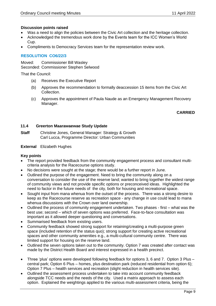#### **Discussion points raised**

- Was a need to align the policies between the Civic Art collection and the heritage collection.
- Acknowledged the tremendous work done by the Events team for the ICC Women's World Cup.
- Compliments to Democracy Services team for the representation review work.

#### **RESOLUTION CO6/22/3**

Moved: Commissioner Bill Wasley Seconded: Commissioner Stephen Selwood

That the Council:

- (a) Receives the Executive Report
- (b) Approves the recommendation to formally deaccession 15 items from the Civic Art Collection.
- (c) Approves the appointment of Paula Naude as an Emergency Management Recovery Manager.

#### **CARRIED**

#### <span id="page-8-0"></span>**11.4 Greerton Maarawaewae Study Update**

**Staff** Christine Jones, General Manager: Strategy & Growth Carl Lucca, Programme Director: Urban Communities

#### **External** Elizabeth Hughes

#### **Key points**

- The report provided feedback from the community engagement process and consultant multicriteria analysis for the Racecourse options study.
- No decisions were sought at the stage; there would be a further report in June.
- Outlined the purpose of the engagement. Need to bring the community along on a conversation to consider the use of the reserve land; wanted to bring together the widest range of community views and not provide specific options or preconceived ideas. Highlighted the need to factor in the future needs of the city, both for housing and recreational space.
- Sought input from mana whenua from the outset of the process. There was a strong desire to keep as the Racecourse reserve as recreation space - any change in use could lead to mana whenua discussions with the Crown over land ownership.
- Outlined the process of community engagement undertaken. Two phases first what was the best use; second – which of seven options was preferred. Face-to-face consultation was important as it allowed deeper questioning and conversations.
- Summarised feedback from existing users.
- Community feedback showed strong support for retaining/creating a multi-purpose green space (included retention of the status quo); strong support for creating active recreational spaces and other community amenities e.g., a multi-cultural community centre. There was limited support for housing on the reserve land.
- Outlined the seven options taken out to the community. Option 7 was created after contact was made by the District Health Board and interest expressed in a health precinct.
- Three 'plus' options were developed following feedback for options 3, 6 and 7. Option 3 Plus central park; Option 6 Plus – homes, plus destination park (reduced residential from option 6); Option 7 Plus – health services and recreation (slight reduction in health services site).
- Outlined the assessment process undertaken to take into account community feedback alongside TCC needs and the needs of the city. Used a matrix approach to assess each option. Explained the weightings applied to the various multi-assessment criteria, being the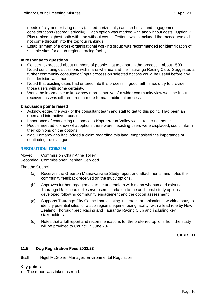needs of city and existing users (scored horizontally) and technical and engagement considerations (scored vertically). Each option was marked with and without costs. Option 7 Plus ranked highest both with and without costs. Options which included the racecourse did not come through into the top four rankings.

• Establishment of a cross-organisational working group was recommended for identification of suitable sites for a sub-regional racing facility.

#### **In response to questions**

- Concern expressed about numbers of people that took part in the process about 1500. Noted continuing discussions with mana whenua and the Tauranga Racing Club. Suggested a further community consultation/input process on selected options could be useful before any final decision was made.
- Noted that existing users had entered into this process in good faith; should try to provide those users with some certainty.
- Would be informative to know how representative of a wider community view was the input received, as was different from a more formal traditional process.

#### **Discussion points raised**

- Acknowledged the work of the consultant team and staff to get to this point. Had been an open and interactive process.
- Importance of connecting the space to Kopurererua Valley was a recurring theme.
- People needed to know what options there were if existing users were displaced, could inform their opinions on the options.
- Ngai Tamarawaho had lodged a claim regarding this land; emphasised the importance of continuing the dialogue.

#### **RESOLUTION CO6/22/4**

Moved: Commission Chair Anne Tolley Seconded: Commissioner Stephen Selwood

That the Council:

- (a) Receives the Greerton Maarawaewae Study report and attachments, and notes the community feedback received on the study options.
- (b) Approves further engagement to be undertaken with mana whenua and existing Tauranga Racecourse Reserve users in relation to the additional study options developed following community engagement and the option assessment.
- (c) Supports Tauranga City Council participating in a cross-organisational working party to identify potential sites for a sub-regional equine racing facility, with a lead role by New Zealand Thoroughbred Racing and Tauranga Racing Club and including key stakeholders
- (d) Notes that a full report and recommendations for the preferred options from the study will be provided to Council in June 2022.

**CARRIED**

#### <span id="page-9-0"></span>**11.5 Dog Registration Fees 2022/23**

**Staff** Nigel McGlone, Manager: Environmental Regulation

#### **Key points**

• The report was taken as read.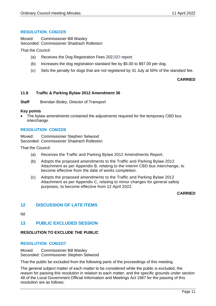#### **RESOLUTION CO6/22/5**

Moved: Commissioner Bill Wasley Seconded: Commissioner Shadrach Rolleston

That the Council:

- (a) Receives the Dog Registration Fees 2022/23 report.
- (b) Increases the dog registration standard fee by \$5.00 to \$97.00 per dog.
- (c) Sets the penalty for dogs that are not registered by 31 July at 50% of the standard fee.

#### **CARRIED**

#### <span id="page-10-0"></span>**11.6 Traffic & Parking Bylaw 2012 Amendment 36**

**Staff** Brendan Bisley, Director of Transport

#### **Key points**

• The bylaw amendments contained the adjustments required for the temporary CBD bus interchange.

#### **RESOLUTION CO6/22/6**

Moved: Commissioner Stephen Selwood Seconded: Commissioner Shadrach Rolleston

That the Council:

- (a) Receives the Traffic and Parking Bylaw 2012 Amendments Report.
- (b) Adopts the proposed amendments to the Traffic and Parking Bylaw 2012 Attachment as per Appendix B, relating to the interim CBD bus interchange, to become effective from the date of works completion.
- (c) Adopts the proposed amendments to the Traffic and Parking Bylaw 2012 Attachment as per Appendix C, relating to minor changes for general safety purposes, to become effective from 12 April 2022.

#### **CARRIED**

#### <span id="page-10-1"></span>**12 DISCUSSION OF LATE ITEMS**

<span id="page-10-2"></span>Nil

#### **13 PUBLIC EXCLUDED SESSION**

#### **RESOLUTION TO EXCLUDE THE PUBLIC**

#### **RESOLUTION CO6/22/7**

Moved: Commissioner Bill Wasley Seconded: Commissioner Stephen Selwood

That the public be excluded from the following parts of the proceedings of this meeting.

The general subject matter of each matter to be considered while the public is excluded, the reason for passing this resolution in relation to each matter, and the specific grounds under section 48 of the Local Government Official Information and Meetings Act 1987 for the passing of this resolution are as follows: